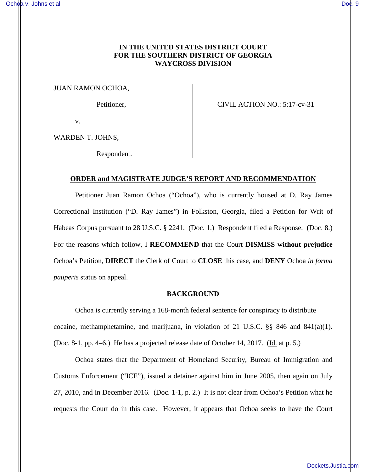# **IN THE UNITED STATES DISTRICT COURT FOR THE SOUTHERN DISTRICT OF GEORGIA WAYCROSS DIVISION**

JUAN RAMON OCHOA,

Petitioner, CIVIL ACTION NO.: 5:17-cv-31

v.

WARDEN T. JOHNS,

Respondent.

## **ORDER and MAGISTRATE JUDGE'S REPORT AND RECOMMENDATION**

Petitioner Juan Ramon Ochoa ("Ochoa"), who is currently housed at D. Ray James Correctional Institution ("D. Ray James") in Folkston, Georgia, filed a Petition for Writ of Habeas Corpus pursuant to 28 U.S.C. § 2241. (Doc. 1.) Respondent filed a Response. (Doc. 8.) For the reasons which follow, I **RECOMMEND** that the Court **DISMISS without prejudice**  Ochoa's Petition, **DIRECT** the Clerk of Court to **CLOSE** this case, and **DENY** Ochoa *in forma pauperis* status on appeal.

#### **BACKGROUND**

 Ochoa is currently serving a 168-month federal sentence for conspiracy to distribute cocaine, methamphetamine, and marijuana, in violation of 21 U.S.C.  $\S$ § 846 and 841(a)(1). (Doc. 8-1, pp. 4–6.) He has a projected release date of October 14, 2017. (Id. at p. 5.)

Ochoa states that the Department of Homeland Security, Bureau of Immigration and Customs Enforcement ("ICE"), issued a detainer against him in June 2005, then again on July 27, 2010, and in December 2016. (Doc. 1-1, p. 2.) It is not clear from Ochoa's Petition what he requests the Court do in this case. However, it appears that Ochoa seeks to have the Court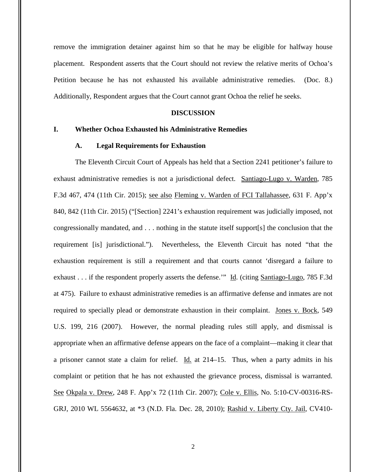remove the immigration detainer against him so that he may be eligible for halfway house placement. Respondent asserts that the Court should not review the relative merits of Ochoa's Petition because he has not exhausted his available administrative remedies. (Doc. 8.) Additionally, Respondent argues that the Court cannot grant Ochoa the relief he seeks.

## **DISCUSSION**

## **I. Whether Ochoa Exhausted his Administrative Remedies**

### **A. Legal Requirements for Exhaustion**

The Eleventh Circuit Court of Appeals has held that a Section 2241 petitioner's failure to exhaust administrative remedies is not a jurisdictional defect. Santiago-Lugo v. Warden, 785 F.3d 467, 474 (11th Cir. 2015); see also Fleming v. Warden of FCI Tallahassee, 631 F. App'x 840, 842 (11th Cir. 2015) ("[Section] 2241's exhaustion requirement was judicially imposed, not congressionally mandated, and . . . nothing in the statute itself support[s] the conclusion that the requirement [is] jurisdictional."). Nevertheless, the Eleventh Circuit has noted "that the exhaustion requirement is still a requirement and that courts cannot 'disregard a failure to exhaust . . . if the respondent properly asserts the defense." Id. (citing Santiago-Lugo, 785 F.3d at 475). Failure to exhaust administrative remedies is an affirmative defense and inmates are not required to specially plead or demonstrate exhaustion in their complaint. Jones v. Bock, 549 U.S. 199, 216 (2007). However, the normal pleading rules still apply, and dismissal is appropriate when an affirmative defense appears on the face of a complaint—making it clear that a prisoner cannot state a claim for relief. Id. at 214–15. Thus, when a party admits in his complaint or petition that he has not exhausted the grievance process, dismissal is warranted. See Okpala v. Drew, 248 F. App'x 72 (11th Cir. 2007); Cole v. Ellis, No. 5:10-CV-00316-RS-GRJ, 2010 WL 5564632, at \*3 (N.D. Fla. Dec. 28, 2010); Rashid v. Liberty Cty. Jail, CV410-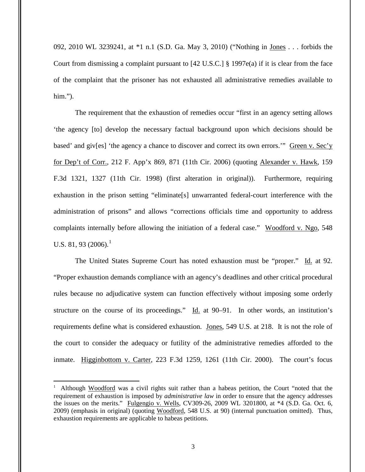092, 2010 WL 3239241, at \*1 n.1 (S.D. Ga. May 3, 2010) ("Nothing in Jones . . . forbids the Court from dismissing a complaint pursuant to [42 U.S.C.] § 1997e(a) if it is clear from the face of the complaint that the prisoner has not exhausted all administrative remedies available to him.").

The requirement that the exhaustion of remedies occur "first in an agency setting allows 'the agency [to] develop the necessary factual background upon which decisions should be based' and giv[es] 'the agency a chance to discover and correct its own errors.'" Green v. Sec'y for Dep't of Corr., 212 F. App'x 869, 871 (11th Cir. 2006) (quoting Alexander v. Hawk, 159 F.3d 1321, 1327 (11th Cir. 1998) (first alteration in original)). Furthermore, requiring exhaustion in the prison setting "eliminate[s] unwarranted federal-court interference with the administration of prisons" and allows "corrections officials time and opportunity to address complaints internally before allowing the initiation of a federal case." Woodford v. Ngo, 548 U.S. 81, 93 (2006).<sup>1</sup>

The United States Supreme Court has noted exhaustion must be "proper." Id. at 92. "Proper exhaustion demands compliance with an agency's deadlines and other critical procedural rules because no adjudicative system can function effectively without imposing some orderly structure on the course of its proceedings." Id. at 90–91. In other words, an institution's requirements define what is considered exhaustion. Jones, 549 U.S. at 218. It is not the role of the court to consider the adequacy or futility of the administrative remedies afforded to the inmate. Higginbottom v. Carter, 223 F.3d 1259, 1261 (11th Cir. 2000). The court's focus

 $\overline{a}$ 

<sup>&</sup>lt;sup>1</sup> Although Woodford was a civil rights suit rather than a habeas petition, the Court "noted that the requirement of exhaustion is imposed by *administrative law* in order to ensure that the agency addresses the issues on the merits." Fulgengio v. Wells, CV309-26, 2009 WL 3201800, at \*4 (S.D. Ga. Oct. 6, 2009) (emphasis in original) (quoting Woodford, 548 U.S. at 90) (internal punctuation omitted). Thus, exhaustion requirements are applicable to habeas petitions.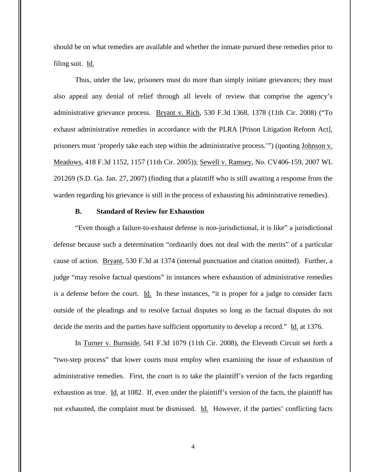should be on what remedies are available and whether the inmate pursued these remedies prior to filing suit. Id.

Thus, under the law, prisoners must do more than simply initiate grievances; they must also appeal any denial of relief through all levels of review that comprise the agency's administrative grievance process. Bryant v. Rich, 530 F.3d 1368, 1378 (11th Cir. 2008) ("To exhaust administrative remedies in accordance with the PLRA [Prison Litigation Reform Act], prisoners must 'properly take each step within the administrative process.'") (quoting Johnson v. Meadows, 418 F.3d 1152, 1157 (11th Cir. 2005)); Sewell v. Ramsey, No. CV406-159, 2007 WL 201269 (S.D. Ga. Jan. 27, 2007) (finding that a plaintiff who is still awaiting a response from the warden regarding his grievance is still in the process of exhausting his administrative remedies).

### **B. Standard of Review for Exhaustion**

"Even though a failure-to-exhaust defense is non-jurisdictional, it is like" a jurisdictional defense because such a determination "ordinarily does not deal with the merits" of a particular cause of action. Bryant, 530 F.3d at 1374 (internal punctuation and citation omitted). Further, a judge "may resolve factual questions" in instances where exhaustion of administrative remedies is a defense before the court. Id. In these instances, "it is proper for a judge to consider facts outside of the pleadings and to resolve factual disputes so long as the factual disputes do not decide the merits and the parties have sufficient opportunity to develop a record." Id. at 1376.

In Turner v. Burnside, 541 F.3d 1079 (11th Cir. 2008), the Eleventh Circuit set forth a "two-step process" that lower courts must employ when examining the issue of exhaustion of administrative remedies. First, the court is to take the plaintiff's version of the facts regarding exhaustion as true. Id. at 1082. If, even under the plaintiff's version of the facts, the plaintiff has not exhausted, the complaint must be dismissed. Id. However, if the parties' conflicting facts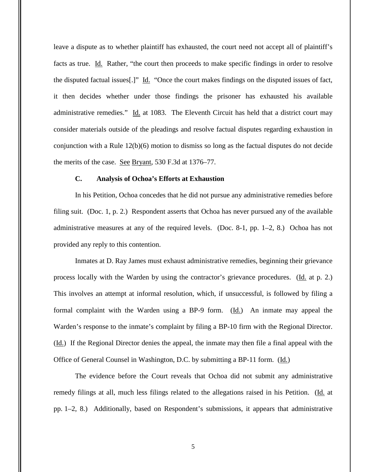leave a dispute as to whether plaintiff has exhausted, the court need not accept all of plaintiff's facts as true. Id. Rather, "the court then proceeds to make specific findings in order to resolve the disputed factual issues[.]" Id. "Once the court makes findings on the disputed issues of fact, it then decides whether under those findings the prisoner has exhausted his available administrative remedies." Id. at 1083. The Eleventh Circuit has held that a district court may consider materials outside of the pleadings and resolve factual disputes regarding exhaustion in conjunction with a Rule 12(b)(6) motion to dismiss so long as the factual disputes do not decide the merits of the case. See Bryant, 530 F.3d at 1376–77.

#### **C. Analysis of Ochoa's Efforts at Exhaustion**

In his Petition, Ochoa concedes that he did not pursue any administrative remedies before filing suit. (Doc. 1, p. 2.) Respondent asserts that Ochoa has never pursued any of the available administrative measures at any of the required levels. (Doc. 8-1, pp. 1–2, 8.) Ochoa has not provided any reply to this contention.

Inmates at D. Ray James must exhaust administrative remedies, beginning their grievance process locally with the Warden by using the contractor's grievance procedures. (Id. at p. 2.) This involves an attempt at informal resolution, which, if unsuccessful, is followed by filing a formal complaint with the Warden using a BP-9 form. (Id.) An inmate may appeal the Warden's response to the inmate's complaint by filing a BP-10 firm with the Regional Director. (Id.) If the Regional Director denies the appeal, the inmate may then file a final appeal with the Office of General Counsel in Washington, D.C. by submitting a BP-11 form. (Id.)

The evidence before the Court reveals that Ochoa did not submit any administrative remedy filings at all, much less filings related to the allegations raised in his Petition. (Id. at pp. 1–2, 8.) Additionally, based on Respondent's submissions, it appears that administrative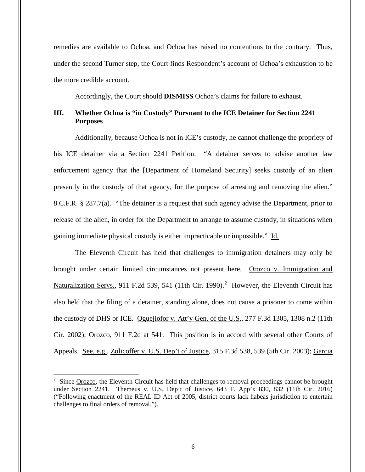remedies are available to Ochoa, and Ochoa has raised no contentions to the contrary. Thus, under the second Turner step, the Court finds Respondent's account of Ochoa's exhaustion to be the more credible account.

Accordingly, the Court should **DISMISS** Ochoa's claims for failure to exhaust.

# **III. Whether Ochoa is "in Custody" Pursuant to the ICE Detainer for Section 2241 Purposes**

 Additionally, because Ochoa is not in ICE's custody, he cannot challenge the propriety of his ICE detainer via a Section 2241 Petition. "A detainer serves to advise another law enforcement agency that the [Department of Homeland Security] seeks custody of an alien presently in the custody of that agency, for the purpose of arresting and removing the alien." 8 C.F.R. § 287.7(a). "The detainer is a request that such agency advise the Department, prior to release of the alien, in order for the Department to arrange to assume custody, in situations when gaining immediate physical custody is either impracticable or impossible." Id.

The Eleventh Circuit has held that challenges to immigration detainers may only be brought under certain limited circumstances not present here. Orozco v. Immigration and Naturalization Servs., 911 F.2d 539, 541 (11th Cir. 1990).<sup>2</sup> However, the Eleventh Circuit has also held that the filing of a detainer, standing alone, does not cause a prisoner to come within the custody of DHS or ICE. Oguejiofor v. Att'y Gen. of the U.S., 277 F.3d 1305, 1308 n.2 (11th Cir. 2002); Orozco, 911 F.2d at 541. This position is in accord with several other Courts of Appeals. See, e.g., Zolicoffer v. U.S. Dep't of Justice, 315 F.3d 538, 539 (5th Cir. 2003); Garcia

 $\overline{a}$ 

 $2^2$  Since Orozco, the Eleventh Circuit has held that challenges to removal proceedings cannot be brought under Section 2241. Themeus v. U.S. Dep't of Justice, 643 F. App'x 830, 832 (11th Cir. 2016) ("Following enactment of the REAL ID Act of 2005, district courts lack habeas jurisdiction to entertain challenges to final orders of removal.").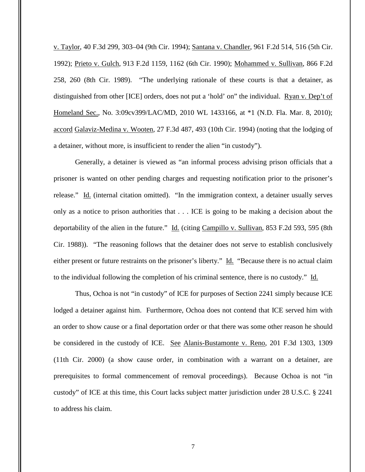v. Taylor, 40 F.3d 299, 303–04 (9th Cir. 1994); Santana v. Chandler, 961 F.2d 514, 516 (5th Cir. 1992); Prieto v. Gulch, 913 F.2d 1159, 1162 (6th Cir. 1990); Mohammed v. Sullivan, 866 F.2d 258, 260 (8th Cir. 1989). "The underlying rationale of these courts is that a detainer, as distinguished from other [ICE] orders, does not put a 'hold' on" the individual. Ryan v. Dep't of Homeland Sec., No. 3:09cv399/LAC/MD, 2010 WL 1433166, at \*1 (N.D. Fla. Mar. 8, 2010); accord Galaviz-Medina v. Wooten, 27 F.3d 487, 493 (10th Cir. 1994) (noting that the lodging of a detainer, without more, is insufficient to render the alien "in custody").

Generally, a detainer is viewed as "an informal process advising prison officials that a prisoner is wanted on other pending charges and requesting notification prior to the prisoner's release." Id. (internal citation omitted). "In the immigration context, a detainer usually serves only as a notice to prison authorities that . . . ICE is going to be making a decision about the deportability of the alien in the future." Id. (citing Campillo v. Sullivan, 853 F.2d 593, 595 (8th Cir. 1988)). "The reasoning follows that the detainer does not serve to establish conclusively either present or future restraints on the prisoner's liberty." Id. "Because there is no actual claim to the individual following the completion of his criminal sentence, there is no custody." Id.

Thus, Ochoa is not "in custody" of ICE for purposes of Section 2241 simply because ICE lodged a detainer against him. Furthermore, Ochoa does not contend that ICE served him with an order to show cause or a final deportation order or that there was some other reason he should be considered in the custody of ICE. See Alanis-Bustamonte v. Reno, 201 F.3d 1303, 1309 (11th Cir. 2000) (a show cause order, in combination with a warrant on a detainer, are prerequisites to formal commencement of removal proceedings). Because Ochoa is not "in custody" of ICE at this time, this Court lacks subject matter jurisdiction under 28 U.S.C. § 2241 to address his claim.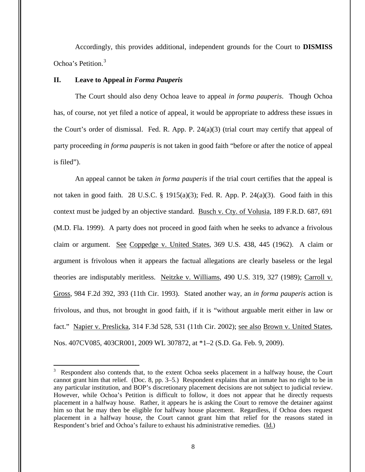Accordingly, this provides additional, independent grounds for the Court to **DISMISS** Ochoa's Petition. 3

## **II. Leave to Appeal** *in Forma Pauperis*

The Court should also deny Ochoa leave to appeal *in forma pauperis*. Though Ochoa has, of course, not yet filed a notice of appeal, it would be appropriate to address these issues in the Court's order of dismissal. Fed. R. App. P. 24(a)(3) (trial court may certify that appeal of party proceeding *in forma pauperis* is not taken in good faith "before or after the notice of appeal is filed").

An appeal cannot be taken *in forma pauperis* if the trial court certifies that the appeal is not taken in good faith. 28 U.S.C. § 1915(a)(3); Fed. R. App. P. 24(a)(3). Good faith in this context must be judged by an objective standard. Busch v. Cty. of Volusia, 189 F.R.D. 687, 691 (M.D. Fla. 1999). A party does not proceed in good faith when he seeks to advance a frivolous claim or argument. See Coppedge v. United States, 369 U.S. 438, 445 (1962). A claim or argument is frivolous when it appears the factual allegations are clearly baseless or the legal theories are indisputably meritless. Neitzke v. Williams, 490 U.S. 319, 327 (1989); Carroll v. Gross, 984 F.2d 392, 393 (11th Cir. 1993). Stated another way, an *in forma pauperis* action is frivolous, and thus, not brought in good faith, if it is "without arguable merit either in law or fact." Napier v. Preslicka, 314 F.3d 528, 531 (11th Cir. 2002); see also Brown v. United States, Nos. 407CV085, 403CR001, 2009 WL 307872, at \*1–2 (S.D. Ga. Feb. 9, 2009).

<sup>&</sup>lt;sup>3</sup> Respondent also contends that, to the extent Ochoa seeks placement in a halfway house, the Court cannot grant him that relief. (Doc. 8, pp. 3–5.) Respondent explains that an inmate has no right to be in any particular institution, and BOP's discretionary placement decisions are not subject to judicial review. However, while Ochoa's Petition is difficult to follow, it does not appear that he directly requests placement in a halfway house. Rather, it appears he is asking the Court to remove the detainer against him so that he may then be eligible for halfway house placement. Regardless, if Ochoa does request placement in a halfway house, the Court cannot grant him that relief for the reasons stated in Respondent's brief and Ochoa's failure to exhaust his administrative remedies. (Id.)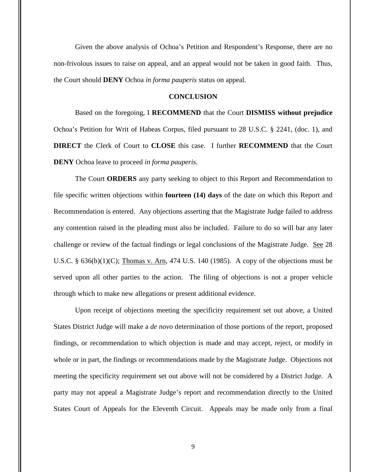Given the above analysis of Ochoa's Petition and Respondent's Response, there are no non-frivolous issues to raise on appeal, and an appeal would not be taken in good faith. Thus, the Court should **DENY** Ochoa *in forma pauperis* status on appeal.

### **CONCLUSION**

Based on the foregoing, I **RECOMMEND** that the Court **DISMISS without prejudice** Ochoa's Petition for Writ of Habeas Corpus, filed pursuant to 28 U.S.C. § 2241, (doc. 1), and **DIRECT** the Clerk of Court to **CLOSE** this case. I further **RECOMMEND** that the Court **DENY** Ochoa leave to proceed *in forma pauperis*.

The Court **ORDERS** any party seeking to object to this Report and Recommendation to file specific written objections within **fourteen (14) days** of the date on which this Report and Recommendation is entered. Any objections asserting that the Magistrate Judge failed to address any contention raised in the pleading must also be included. Failure to do so will bar any later challenge or review of the factual findings or legal conclusions of the Magistrate Judge. See 28 U.S.C. §  $636(b)(1)(C)$ ; Thomas v. Arn, 474 U.S. 140 (1985). A copy of the objections must be served upon all other parties to the action. The filing of objections is not a proper vehicle through which to make new allegations or present additional evidence.

Upon receipt of objections meeting the specificity requirement set out above, a United States District Judge will make a *de novo* determination of those portions of the report, proposed findings, or recommendation to which objection is made and may accept, reject, or modify in whole or in part, the findings or recommendations made by the Magistrate Judge. Objections not meeting the specificity requirement set out above will not be considered by a District Judge. A party may not appeal a Magistrate Judge's report and recommendation directly to the United States Court of Appeals for the Eleventh Circuit. Appeals may be made only from a final